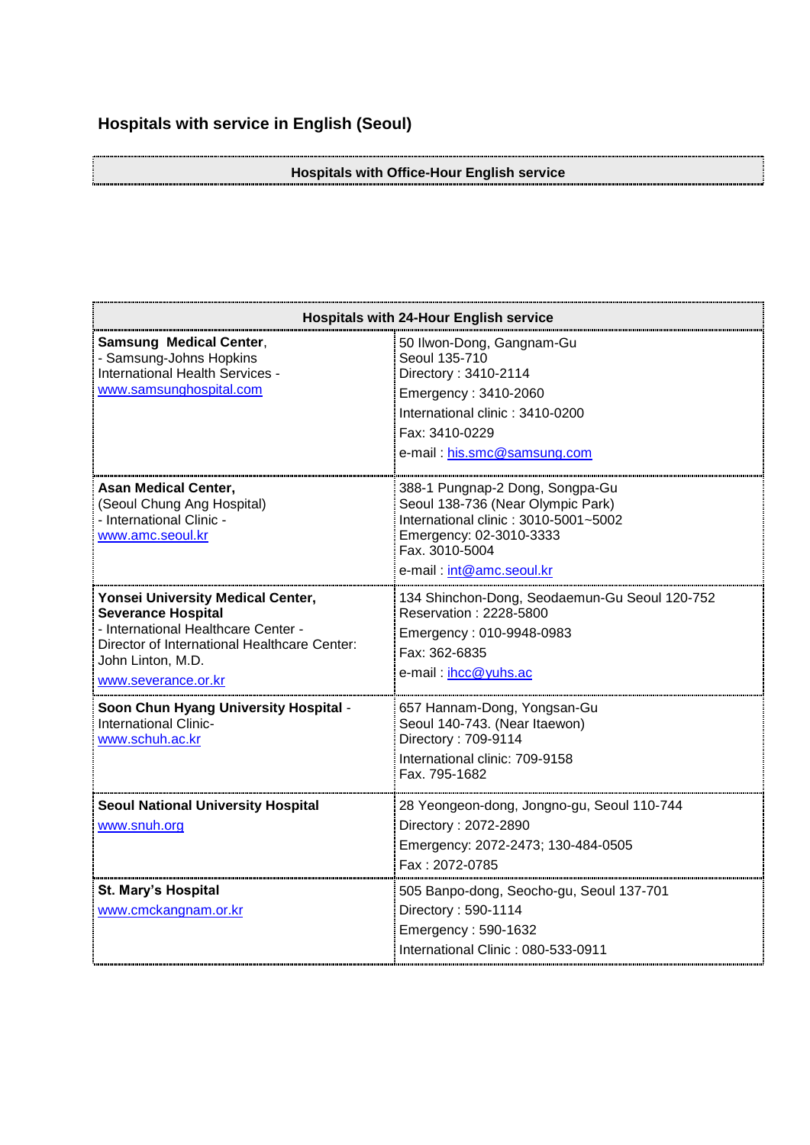## **Hospitals with service in English (Seoul)**

## **Hospitals with Office-Hour English service**

| <b>Hospitals with 24-Hour English service</b>                                                                                                                                                     |                                                                                                                                                                                       |
|---------------------------------------------------------------------------------------------------------------------------------------------------------------------------------------------------|---------------------------------------------------------------------------------------------------------------------------------------------------------------------------------------|
| <b>Samsung Medical Center,</b><br>- Samsung-Johns Hopkins<br>International Health Services -<br>www.samsunghospital.com                                                                           | 50 Ilwon-Dong, Gangnam-Gu<br>Seoul 135-710<br>Directory: 3410-2114<br>Emergency: 3410-2060<br>International clinic: 3410-0200<br>Fax: 3410-0229<br>e-mail: his.smc@samsung.com        |
| <b>Asan Medical Center,</b><br>(Seoul Chung Ang Hospital)<br>- International Clinic -<br>www.amc.seoul.kr                                                                                         | 388-1 Pungnap-2 Dong, Songpa-Gu<br>Seoul 138-736 (Near Olympic Park)<br>International clinic: 3010-5001~5002<br>Emergency: 02-3010-3333<br>Fax. 3010-5004<br>e-mail: int@amc.seoul.kr |
| Yonsei University Medical Center,<br><b>Severance Hospital</b><br>- International Healthcare Center -<br>Director of International Healthcare Center:<br>John Linton, M.D.<br>www.severance.or.kr | 134 Shinchon-Dong, Seodaemun-Gu Seoul 120-752<br>Reservation: 2228-5800<br>Emergency: 010-9948-0983<br>Fax: 362-6835<br>e-mail: ihcc@yuhs.ac                                          |
| Soon Chun Hyang University Hospital -<br>International Clinic-<br>www.schuh.ac.kr                                                                                                                 | 657 Hannam-Dong, Yongsan-Gu<br>Seoul 140-743. (Near Itaewon)<br>Directory: 709-9114<br>International clinic: 709-9158<br>Fax. 795-1682                                                |
| <b>Seoul National University Hospital</b><br>www.snuh.org                                                                                                                                         | 28 Yeongeon-dong, Jongno-gu, Seoul 110-744<br>Directory: 2072-2890<br>Emergency: 2072-2473; 130-484-0505<br>Fax: 2072-0785                                                            |
| <b>St. Mary's Hospital</b><br>www.cmckangnam.or.kr                                                                                                                                                | 505 Banpo-dong, Seocho-gu, Seoul 137-701<br>Directory: 590-1114<br>Emergency: 590-1632<br>International Clinic: 080-533-0911                                                          |